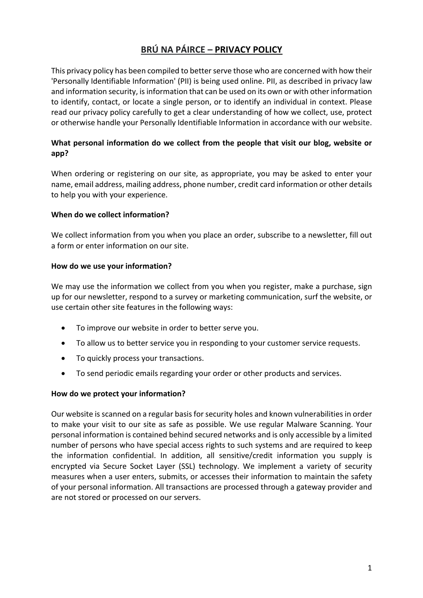# **BRÚ NA PÁIRCE – PRIVACY POLICY**

This privacy policy has been compiled to better serve those who are concerned with how their 'Personally Identifiable Information' (PII) is being used online. PII, as described in privacy law and information security, is information that can be used on its own or with other information to identify, contact, or locate a single person, or to identify an individual in context. Please read our privacy policy carefully to get a clear understanding of how we collect, use, protect or otherwise handle your Personally Identifiable Information in accordance with our website.

# **What personal information do we collect from the people that visit our blog, website or app?**

When ordering or registering on our site, as appropriate, you may be asked to enter your name, email address, mailing address, phone number, credit card information or other details to help you with your experience.

## **When do we collect information?**

We collect information from you when you place an order, subscribe to a newsletter, fill out a form or enter information on our site.

## **How do we use your information?**

We may use the information we collect from you when you register, make a purchase, sign up for our newsletter, respond to a survey or marketing communication, surf the website, or use certain other site features in the following ways:

- To improve our website in order to better serve you.
- To allow us to better service you in responding to your customer service requests.
- To quickly process your transactions.
- To send periodic emails regarding your order or other products and services.

#### **How do we protect your information?**

Our website is scanned on a regular basis for security holes and known vulnerabilities in order to make your visit to our site as safe as possible. We use regular Malware Scanning. Your personal information is contained behind secured networks and is only accessible by a limited number of persons who have special access rights to such systems and are required to keep the information confidential. In addition, all sensitive/credit information you supply is encrypted via Secure Socket Layer (SSL) technology. We implement a variety of security measures when a user enters, submits, or accesses their information to maintain the safety of your personal information. All transactions are processed through a gateway provider and are not stored or processed on our servers.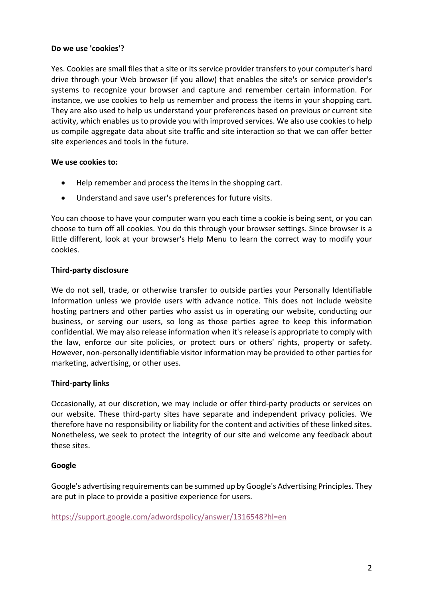# **Do we use 'cookies'?**

Yes. Cookies are small files that a site or its service provider transfers to your computer's hard drive through your Web browser (if you allow) that enables the site's or service provider's systems to recognize your browser and capture and remember certain information. For instance, we use cookies to help us remember and process the items in your shopping cart. They are also used to help us understand your preferences based on previous or current site activity, which enables us to provide you with improved services. We also use cookies to help us compile aggregate data about site traffic and site interaction so that we can offer better site experiences and tools in the future.

## **We use cookies to:**

- Help remember and process the items in the shopping cart.
- Understand and save user's preferences for future visits.

You can choose to have your computer warn you each time a cookie is being sent, or you can choose to turn off all cookies. You do this through your browser settings. Since browser is a little different, look at your browser's Help Menu to learn the correct way to modify your cookies.

## **Third-party disclosure**

We do not sell, trade, or otherwise transfer to outside parties your Personally Identifiable Information unless we provide users with advance notice. This does not include website hosting partners and other parties who assist us in operating our website, conducting our business, or serving our users, so long as those parties agree to keep this information confidential. We may also release information when it's release is appropriate to comply with the law, enforce our site policies, or protect ours or others' rights, property or safety. However, non-personally identifiable visitor information may be provided to other parties for marketing, advertising, or other uses.

#### **Third-party links**

Occasionally, at our discretion, we may include or offer third-party products or services on our website. These third-party sites have separate and independent privacy policies. We therefore have no responsibility or liability for the content and activities of these linked sites. Nonetheless, we seek to protect the integrity of our site and welcome any feedback about these sites.

#### **Google**

Google's advertising requirements can be summed up by Google's Advertising Principles. They are put in place to provide a positive experience for users.

https://support.google.com/adwordspolicy/answer/1316548?hl=en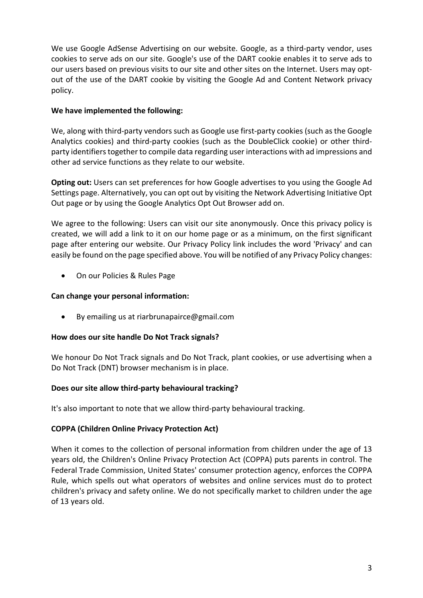We use Google AdSense Advertising on our website. Google, as a third-party vendor, uses cookies to serve ads on our site. Google's use of the DART cookie enables it to serve ads to our users based on previous visits to our site and other sites on the Internet. Users may optout of the use of the DART cookie by visiting the Google Ad and Content Network privacy policy.

# **We have implemented the following:**

We, along with third-party vendors such as Google use first-party cookies (such as the Google Analytics cookies) and third-party cookies (such as the DoubleClick cookie) or other thirdparty identifiers together to compile data regarding user interactions with ad impressions and other ad service functions as they relate to our website.

**Opting out:** Users can set preferences for how Google advertises to you using the Google Ad Settings page. Alternatively, you can opt out by visiting the Network Advertising Initiative Opt Out page or by using the Google Analytics Opt Out Browser add on.

We agree to the following: Users can visit our site anonymously. Once this privacy policy is created, we will add a link to it on our home page or as a minimum, on the first significant page after entering our website. Our Privacy Policy link includes the word 'Privacy' and can easily be found on the page specified above. You will be notified of any Privacy Policy changes:

• On our Policies & Rules Page

# **Can change your personal information:**

• By emailing us at riarbrunapairce@gmail.com

# **How does our site handle Do Not Track signals?**

We honour Do Not Track signals and Do Not Track, plant cookies, or use advertising when a Do Not Track (DNT) browser mechanism is in place.

# **Does our site allow third-party behavioural tracking?**

It's also important to note that we allow third-party behavioural tracking.

# **COPPA (Children Online Privacy Protection Act)**

When it comes to the collection of personal information from children under the age of 13 years old, the Children's Online Privacy Protection Act (COPPA) puts parents in control. The Federal Trade Commission, United States' consumer protection agency, enforces the COPPA Rule, which spells out what operators of websites and online services must do to protect children's privacy and safety online. We do not specifically market to children under the age of 13 years old.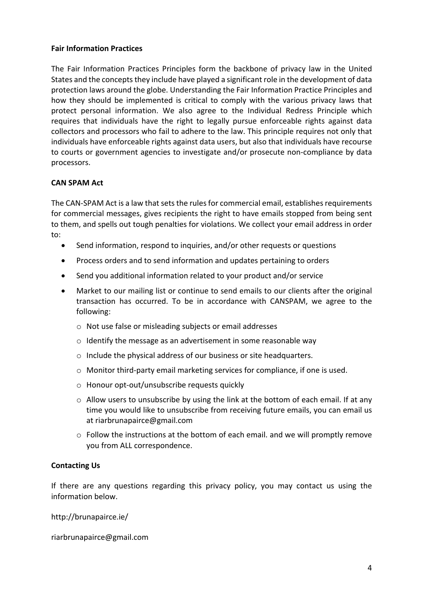## **Fair Information Practices**

The Fair Information Practices Principles form the backbone of privacy law in the United States and the concepts they include have played a significant role in the development of data protection laws around the globe. Understanding the Fair Information Practice Principles and how they should be implemented is critical to comply with the various privacy laws that protect personal information. We also agree to the Individual Redress Principle which requires that individuals have the right to legally pursue enforceable rights against data collectors and processors who fail to adhere to the law. This principle requires not only that individuals have enforceable rights against data users, but also that individuals have recourse to courts or government agencies to investigate and/or prosecute non-compliance by data processors.

# **CAN SPAM Act**

The CAN-SPAM Act is a law that sets the rules for commercial email, establishes requirements for commercial messages, gives recipients the right to have emails stopped from being sent to them, and spells out tough penalties for violations. We collect your email address in order to:

- Send information, respond to inquiries, and/or other requests or questions
- Process orders and to send information and updates pertaining to orders
- Send you additional information related to your product and/or service
- Market to our mailing list or continue to send emails to our clients after the original transaction has occurred. To be in accordance with CANSPAM, we agree to the following:
	- o Not use false or misleading subjects or email addresses
	- o Identify the message as an advertisement in some reasonable way
	- o Include the physical address of our business or site headquarters.
	- o Monitor third-party email marketing services for compliance, if one is used.
	- o Honour opt-out/unsubscribe requests quickly
	- o Allow users to unsubscribe by using the link at the bottom of each email. If at any time you would like to unsubscribe from receiving future emails, you can email us at riarbrunapairce@gmail.com
	- o Follow the instructions at the bottom of each email. and we will promptly remove you from ALL correspondence.

#### **Contacting Us**

If there are any questions regarding this privacy policy, you may contact us using the information below.

http://brunapairce.ie/

riarbrunapairce@gmail.com